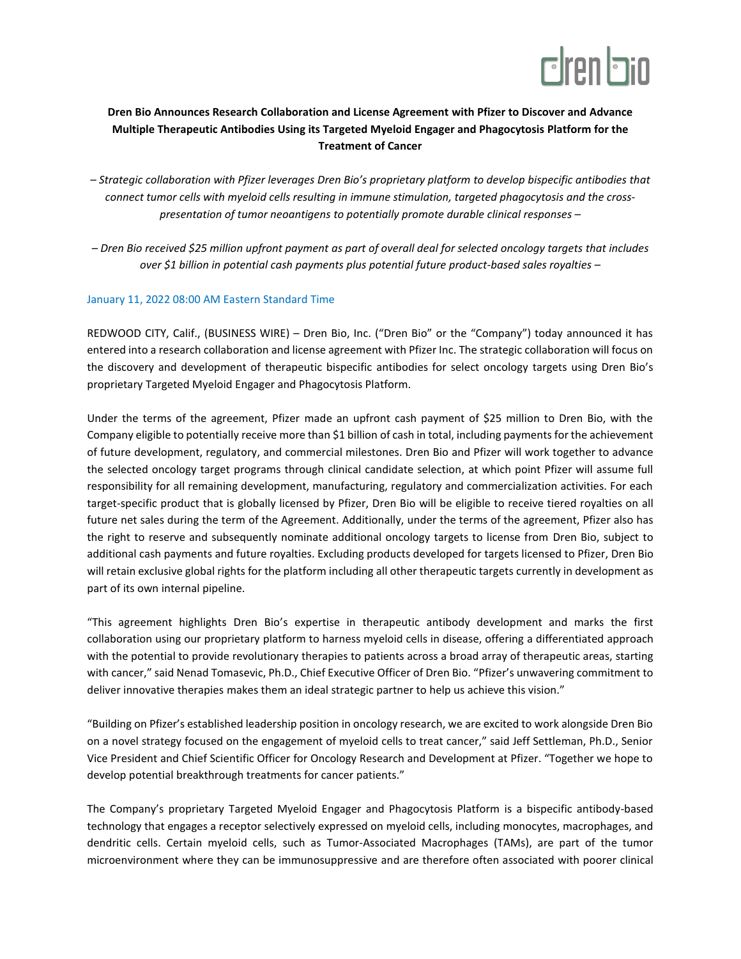

## **Dren Bio Announces Research Collaboration and License Agreement with Pfizer to Discover and Advance Multiple Therapeutic Antibodies Using its Targeted Myeloid Engager and Phagocytosis Platform for the Treatment of Cancer**

- *– Strategic collaboration with Pfizer leverages Dren Bio's proprietary platform to develop bispecific antibodies that connect tumor cells with myeloid cells resulting in immune stimulation, targeted phagocytosis and the crosspresentation of tumor neoantigens to potentially promote durable clinical responses –*
- *– Dren Bio received \$25 million upfront payment as part of overall deal for selected oncology targets that includes over \$1 billion in potential cash payments plus potential future product-based sales royalties –*

## January 11, 2022 08:00 AM Eastern Standard Time

REDWOOD CITY, Calif., (BUSINESS WIRE) – Dren Bio, Inc. ("Dren Bio" or the "Company") today announced it has entered into a research collaboration and license agreement with Pfizer Inc. The strategic collaboration will focus on the discovery and development of therapeutic bispecific antibodies for select oncology targets using Dren Bio's proprietary Targeted Myeloid Engager and Phagocytosis Platform.

Under the terms of the agreement, Pfizer made an upfront cash payment of \$25 million to Dren Bio, with the Company eligible to potentially receive more than \$1 billion of cash in total, including payments for the achievement of future development, regulatory, and commercial milestones. Dren Bio and Pfizer will work together to advance the selected oncology target programs through clinical candidate selection, at which point Pfizer will assume full responsibility for all remaining development, manufacturing, regulatory and commercialization activities. For each target-specific product that is globally licensed by Pfizer, Dren Bio will be eligible to receive tiered royalties on all future net sales during the term of the Agreement. Additionally, under the terms of the agreement, Pfizer also has the right to reserve and subsequently nominate additional oncology targets to license from Dren Bio, subject to additional cash payments and future royalties. Excluding products developed for targets licensed to Pfizer, Dren Bio will retain exclusive global rights for the platform including all other therapeutic targets currently in development as part of its own internal pipeline.

"This agreement highlights Dren Bio's expertise in therapeutic antibody development and marks the first collaboration using our proprietary platform to harness myeloid cells in disease, offering a differentiated approach with the potential to provide revolutionary therapies to patients across a broad array of therapeutic areas, starting with cancer," said Nenad Tomasevic, Ph.D., Chief Executive Officer of Dren Bio. "Pfizer's unwavering commitment to deliver innovative therapies makes them an ideal strategic partner to help us achieve this vision."

"Building on Pfizer's established leadership position in oncology research, we are excited to work alongside Dren Bio on a novel strategy focused on the engagement of myeloid cells to treat cancer," said Jeff Settleman, Ph.D., Senior Vice President and Chief Scientific Officer for Oncology Research and Development at Pfizer. "Together we hope to develop potential breakthrough treatments for cancer patients."

The Company's proprietary Targeted Myeloid Engager and Phagocytosis Platform is a bispecific antibody-based technology that engages a receptor selectively expressed on myeloid cells, including monocytes, macrophages, and dendritic cells. Certain myeloid cells, such as Tumor-Associated Macrophages (TAMs), are part of the tumor microenvironment where they can be immunosuppressive and are therefore often associated with poorer clinical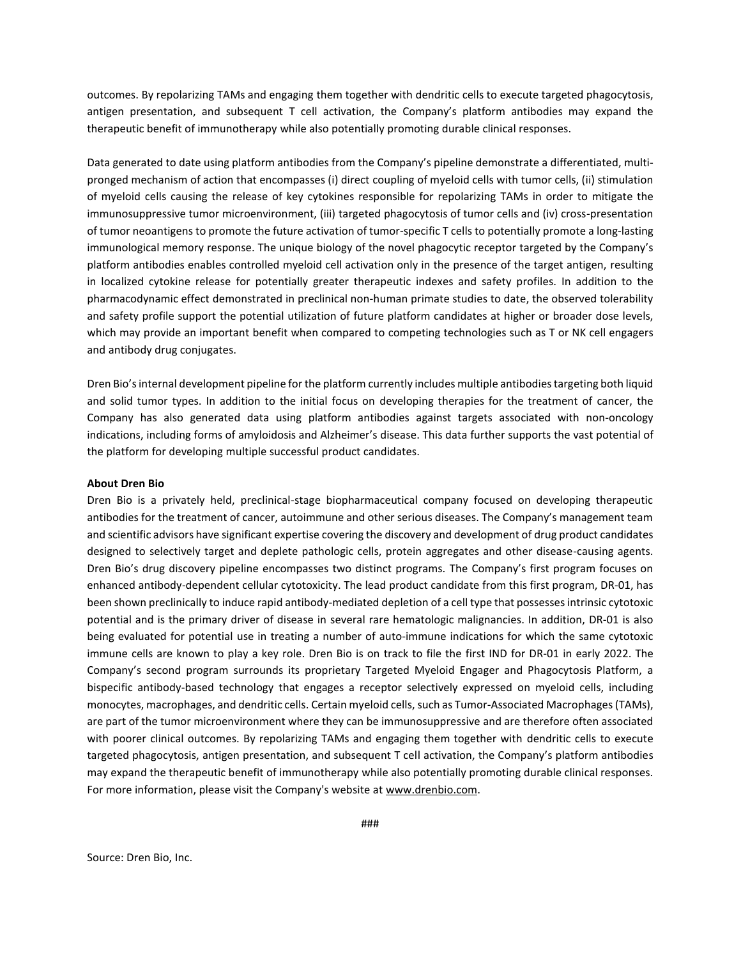outcomes. By repolarizing TAMs and engaging them together with dendritic cells to execute targeted phagocytosis, antigen presentation, and subsequent T cell activation, the Company's platform antibodies may expand the therapeutic benefit of immunotherapy while also potentially promoting durable clinical responses.

Data generated to date using platform antibodies from the Company's pipeline demonstrate a differentiated, multipronged mechanism of action that encompasses (i) direct coupling of myeloid cells with tumor cells, (ii) stimulation of myeloid cells causing the release of key cytokines responsible for repolarizing TAMs in order to mitigate the immunosuppressive tumor microenvironment, (iii) targeted phagocytosis of tumor cells and (iv) cross-presentation of tumor neoantigens to promote the future activation of tumor-specific T cells to potentially promote a long-lasting immunological memory response. The unique biology of the novel phagocytic receptor targeted by the Company's platform antibodies enables controlled myeloid cell activation only in the presence of the target antigen, resulting in localized cytokine release for potentially greater therapeutic indexes and safety profiles. In addition to the pharmacodynamic effect demonstrated in preclinical non-human primate studies to date, the observed tolerability and safety profile support the potential utilization of future platform candidates at higher or broader dose levels, which may provide an important benefit when compared to competing technologies such as T or NK cell engagers and antibody drug conjugates.

Dren Bio's internal development pipeline for the platform currently includes multiple antibodiestargeting both liquid and solid tumor types. In addition to the initial focus on developing therapies for the treatment of cancer, the Company has also generated data using platform antibodies against targets associated with non-oncology indications, including forms of amyloidosis and Alzheimer's disease. This data further supports the vast potential of the platform for developing multiple successful product candidates.

## **About Dren Bio**

Dren Bio is a privately held, preclinical-stage biopharmaceutical company focused on developing therapeutic antibodies for the treatment of cancer, autoimmune and other serious diseases. The Company's management team and scientific advisors have significant expertise covering the discovery and development of drug product candidates designed to selectively target and deplete pathologic cells, protein aggregates and other disease-causing agents. Dren Bio's drug discovery pipeline encompasses two distinct programs. The Company's first program focuses on enhanced antibody-dependent cellular cytotoxicity. The lead product candidate from this first program, DR-01, has been shown preclinically to induce rapid antibody-mediated depletion of a cell type that possessesintrinsic cytotoxic potential and is the primary driver of disease in several rare hematologic malignancies. In addition, DR-01 is also being evaluated for potential use in treating a number of auto-immune indications for which the same cytotoxic immune cells are known to play a key role. Dren Bio is on track to file the first IND for DR-01 in early 2022. The Company's second program surrounds its proprietary Targeted Myeloid Engager and Phagocytosis Platform, a bispecific antibody-based technology that engages a receptor selectively expressed on myeloid cells, including monocytes, macrophages, and dendritic cells. Certain myeloid cells, such as Tumor-Associated Macrophages (TAMs), are part of the tumor microenvironment where they can be immunosuppressive and are therefore often associated with poorer clinical outcomes. By repolarizing TAMs and engaging them together with dendritic cells to execute targeted phagocytosis, antigen presentation, and subsequent T cell activation, the Company's platform antibodies may expand the therapeutic benefit of immunotherapy while also potentially promoting durable clinical responses. For more information, please visit the Company's website at [www.drenbio.com.](http://www.drenbio.com/)